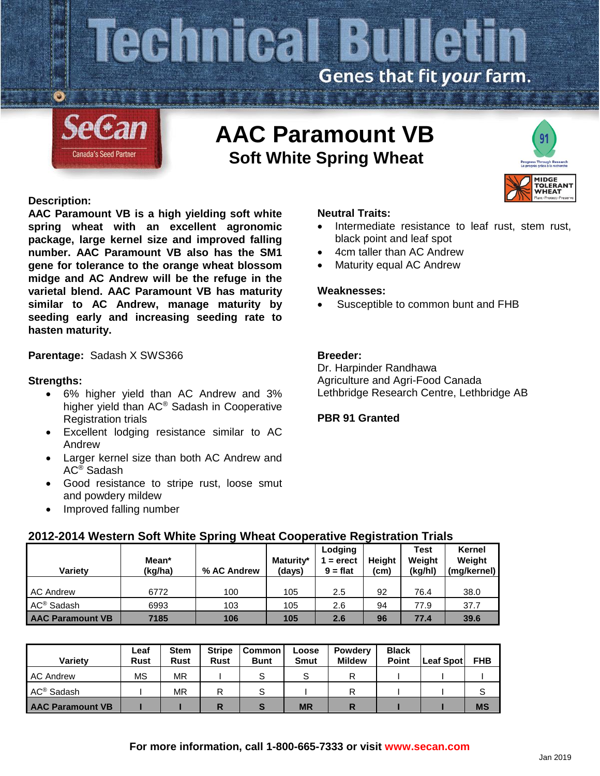# **cemical Bulletin** Genes that fit your farm.



# **AAC Paramount VB Soft White Spring Wheat**

# **Description:**

**AAC Paramount VB is a high yielding soft white spring wheat with an excellent agronomic package, large kernel size and improved falling number. AAC Paramount VB also has the SM1 gene for tolerance to the orange wheat blossom midge and AC Andrew will be the refuge in the varietal blend. AAC Paramount VB has maturity similar to AC Andrew, manage maturity by seeding early and increasing seeding rate to hasten maturity.**

# **Parentage:** Sadash X SWS366

# **Strengths:**

- 6% higher yield than AC Andrew and 3% higher yield than AC® Sadash in Cooperative Registration trials
- Excellent lodging resistance similar to AC Andrew
- Larger kernel size than both AC Andrew and AC® Sadash
- Good resistance to stripe rust, loose smut and powdery mildew
- Improved falling number

#### **Neutral Traits:**

- Intermediate resistance to leaf rust, stem rust, black point and leaf spot
- 4cm taller than AC Andrew
- Maturity equal AC Andrew

#### **Weaknesses:**

Susceptible to common bunt and FHB

# **Breeder:**

Dr. Harpinder Randhawa Agriculture and Agri-Food Canada Lethbridge Research Centre, Lethbridge AB

### **PBR 91 Granted**

# **2012-2014 Western Soft White Spring Wheat Cooperative Registration Trials**

| Varietv                 | Mean*<br>(kg/ha) | % AC Andrew | Maturity*<br>(days) | Lodging<br>$=$ erect<br>$9 = flat$ | <b>Height</b><br>(cm) | <b>Test</b><br>Weight<br>(kg/hl) | Kernel<br>Weight<br>(mg/kernel) |
|-------------------------|------------------|-------------|---------------------|------------------------------------|-----------------------|----------------------------------|---------------------------------|
| <b>AC Andrew</b>        | 6772             | 100         | 105                 | 2.5                                | 92                    | 76.4                             | 38.0                            |
| AC <sup>®</sup> Sadash  | 6993             | 103         | 105                 | 2.6                                | 94                    | 77.9                             | 37.7                            |
| <b>AAC Paramount VB</b> | 7185             | 106         | 105                 | 2.6                                | 96                    | 77.4                             | 39.6                            |

| <b>Variety</b>          | Leaf<br><b>Rust</b> | <b>Stem</b><br><b>Rust</b> | <b>Stripe</b><br><b>Rust</b> | <b>Common</b><br><b>Bunt</b> | Loose<br>Smut | <b>Powderv</b><br><b>Mildew</b> | <b>Black</b><br><b>Point</b> | Leaf Spot | <b>FHB</b> |
|-------------------------|---------------------|----------------------------|------------------------------|------------------------------|---------------|---------------------------------|------------------------------|-----------|------------|
| <b>AC Andrew</b>        | ΜS                  | ΜR                         |                              |                              |               |                                 |                              |           |            |
| AC <sup>®</sup> Sadash  |                     | ΜR                         | R                            |                              |               |                                 |                              |           | S          |
| <b>AAC Paramount VB</b> |                     |                            | R                            |                              | <b>MR</b>     |                                 |                              |           | <b>MS</b>  |